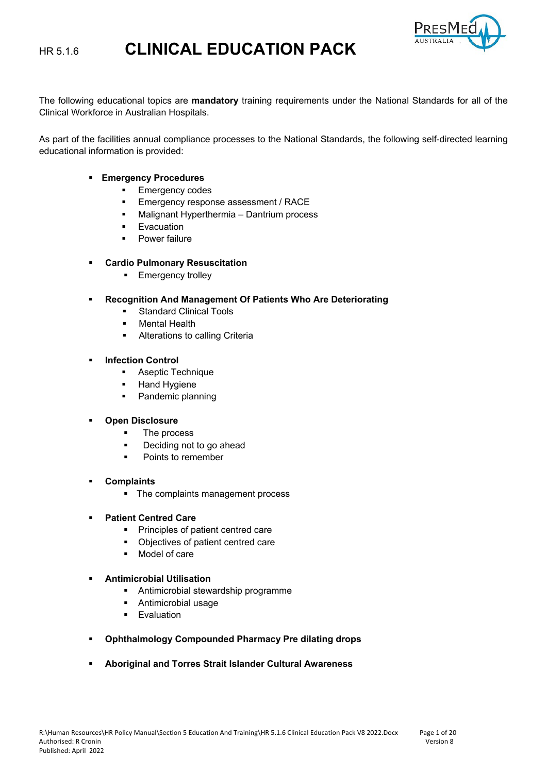

The following educational topics are **mandatory** training requirements under the National Standards for all of the Clinical Workforce in Australian Hospitals.

As part of the facilities annual compliance processes to the National Standards, the following self-directed learning educational information is provided:

- **Emergency Procedures**
	- **Emergency codes**
	- **Emergency response assessment / RACE**
	- **Malignant Hyperthermia Dantrium process**
	- **Evacuation**
	- **Power failure**

#### **Cardio Pulmonary Resuscitation**

- **Emergency trolley**
- **Recognition And Management Of Patients Who Are Deteriorating** 
	- Standard Clinical Tools
	- **Mental Health**
	- **Alterations to calling Criteria**
- **Infection Control**
	- **Aseptic Technique**
	- Hand Hygiene
	- Pandemic planning

#### **Open Disclosure**

- The process
- **Deciding not to go ahead**
- Points to remember

#### **Complaints**

• The complaints management process

#### **Patient Centred Care**

- **Principles of patient centred care**
- Objectives of patient centred care
- Model of care

#### **Antimicrobial Utilisation**

- **Antimicrobial stewardship programme**
- Antimicrobial usage
- **Evaluation**
- **Ophthalmology Compounded Pharmacy Pre dilating drops**
- **Aboriginal and Torres Strait Islander Cultural Awareness**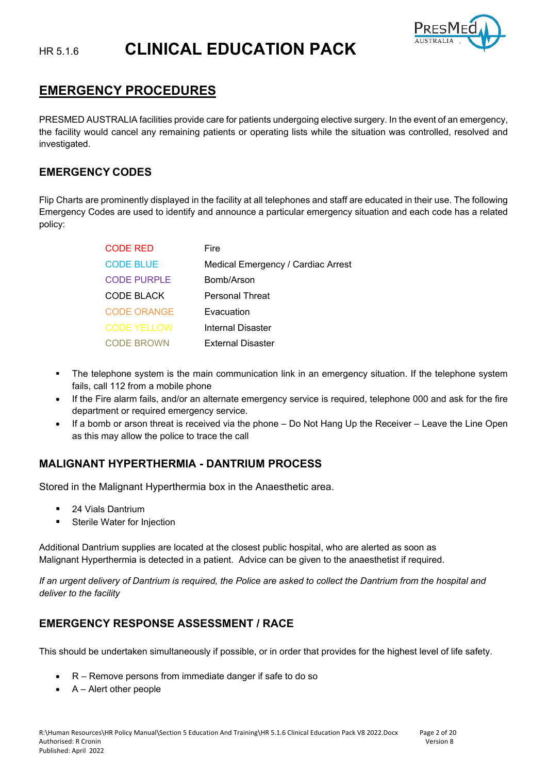

# **EMERGENCY PROCEDURES**

PRESMED AUSTRALIA facilities provide care for patients undergoing elective surgery. In the event of an emergency, the facility would cancel any remaining patients or operating lists while the situation was controlled, resolved and investigated.

### **EMERGENCY CODES**

Flip Charts are prominently displayed in the facility at all telephones and staff are educated in their use. The following Emergency Codes are used to identify and announce a particular emergency situation and each code has a related policy:

| <b>CODE RED</b>    | Fire                               |
|--------------------|------------------------------------|
| <b>CODE BLUE</b>   | Medical Emergency / Cardiac Arrest |
| <b>CODE PURPLE</b> | Bomb/Arson                         |
| CODE BLACK         | <b>Personal Threat</b>             |
| <b>CODE ORANGE</b> | Evacuation                         |
| <b>CODE YELLOW</b> | Internal Disaster                  |
| <b>CODE BROWN</b>  | External Disaster                  |

- The telephone system is the main communication link in an emergency situation. If the telephone system fails, call 112 from a mobile phone
- If the Fire alarm fails, and/or an alternate emergency service is required, telephone 000 and ask for the fire department or required emergency service.
- If a bomb or arson threat is received via the phone Do Not Hang Up the Receiver Leave the Line Open as this may allow the police to trace the call

# **MALIGNANT HYPERTHERMIA - DANTRIUM PROCESS**

Stored in the Malignant Hyperthermia box in the Anaesthetic area.

- 24 Vials Dantrium
- **EXECTE:** Sterile Water for Injection

Additional Dantrium supplies are located at the closest public hospital, who are alerted as soon as Malignant Hyperthermia is detected in a patient. Advice can be given to the anaesthetist if required.

*If an urgent delivery of Dantrium is required, the Police are asked to collect the Dantrium from the hospital and deliver to the facility*

# **EMERGENCY RESPONSE ASSESSMENT / RACE**

This should be undertaken simultaneously if possible, or in order that provides for the highest level of life safety.

- R Remove persons from immediate danger if safe to do so
- A Alert other people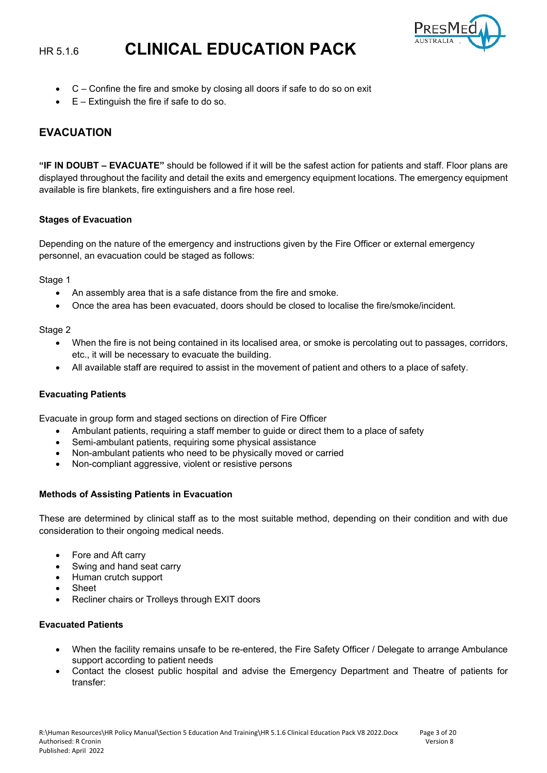

- C Confine the fire and smoke by closing all doors if safe to do so on exit
- $E -$  Extinguish the fire if safe to do so.

# **EVACUATION**

**"IF IN DOUBT – EVACUATE"** should be followed if it will be the safest action for patients and staff. Floor plans are displayed throughout the facility and detail the exits and emergency equipment locations. The emergency equipment available is fire blankets, fire extinguishers and a fire hose reel.

#### **Stages of Evacuation**

Depending on the nature of the emergency and instructions given by the Fire Officer or external emergency personnel, an evacuation could be staged as follows:

Stage 1

- An assembly area that is a safe distance from the fire and smoke.
- Once the area has been evacuated, doors should be closed to localise the fire/smoke/incident.

Stage 2

- When the fire is not being contained in its localised area, or smoke is percolating out to passages, corridors, etc., it will be necessary to evacuate the building.
- All available staff are required to assist in the movement of patient and others to a place of safety.

#### **Evacuating Patients**

Evacuate in group form and staged sections on direction of Fire Officer

- Ambulant patients, requiring a staff member to guide or direct them to a place of safety
- Semi-ambulant patients, requiring some physical assistance
- Non-ambulant patients who need to be physically moved or carried
- Non-compliant aggressive, violent or resistive persons

#### **Methods of Assisting Patients in Evacuation**

These are determined by clinical staff as to the most suitable method, depending on their condition and with due consideration to their ongoing medical needs.

- Fore and Aft carry
- Swing and hand seat carry
- Human crutch support
- **Sheet**
- Recliner chairs or Trolleys through EXIT doors

#### **Evacuated Patients**

- When the facility remains unsafe to be re-entered, the Fire Safety Officer / Delegate to arrange Ambulance support according to patient needs
- Contact the closest public hospital and advise the Emergency Department and Theatre of patients for transfer: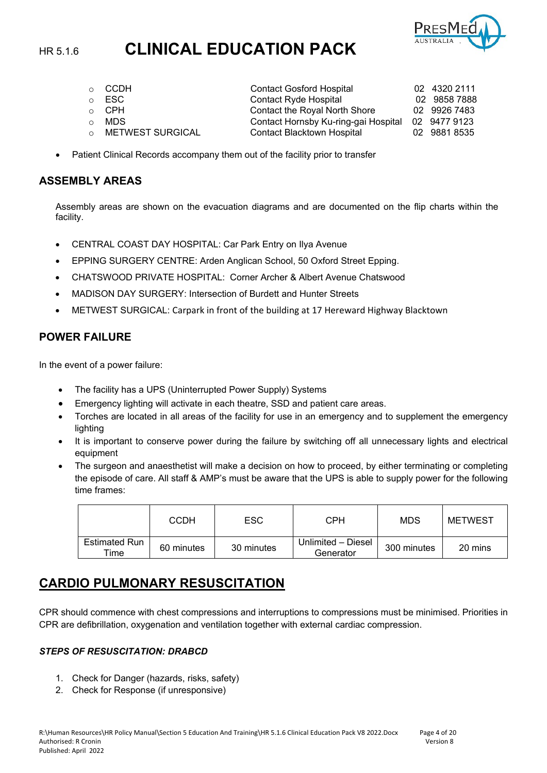

| CCDH                    | <b>Contact Gosford Hospital</b>      | 02 4320 2111 |
|-------------------------|--------------------------------------|--------------|
| $\circ$ ESC             | <b>Contact Ryde Hospital</b>         | 02 9858 7888 |
| ⊙ CPH                   | Contact the Royal North Shore        | 02 9926 7483 |
| MDS                     | Contact Hornsby Ku-ring-gai Hospital | 02 9477 9123 |
| <b>METWEST SURGICAL</b> | <b>Contact Blacktown Hospital</b>    | 02 9881 8535 |
|                         |                                      |              |

Patient Clinical Records accompany them out of the facility prior to transfer

#### **ASSEMBLY AREAS**

Assembly areas are shown on the evacuation diagrams and are documented on the flip charts within the facility.

- CENTRAL COAST DAY HOSPITAL: Car Park Entry on Ilya Avenue
- EPPING SURGERY CENTRE: Arden Anglican School, 50 Oxford Street Epping.
- CHATSWOOD PRIVATE HOSPITAL: Corner Archer & Albert Avenue Chatswood
- MADISON DAY SURGERY: Intersection of Burdett and Hunter Streets
- METWEST SURGICAL: Carpark in front of the building at 17 Hereward Highway Blacktown

#### **POWER FAILURE**

In the event of a power failure:

- The facility has a UPS (Uninterrupted Power Supply) Systems
- Emergency lighting will activate in each theatre, SSD and patient care areas.
- Torches are located in all areas of the facility for use in an emergency and to supplement the emergency lighting
- It is important to conserve power during the failure by switching off all unnecessary lights and electrical equipment
- The surgeon and anaesthetist will make a decision on how to proceed, by either terminating or completing the episode of care. All staff & AMP's must be aware that the UPS is able to supply power for the following time frames:

|                                    | <b>CCDH</b> | ESC.       | CPH                             | <b>MDS</b>  | <b>METWEST</b> |
|------------------------------------|-------------|------------|---------------------------------|-------------|----------------|
| <b>Estimated Run</b><br>$\tau$ ime | 60 minutes  | 30 minutes | Unlimited - Diesel<br>Generator | 300 minutes | 20 mins        |

# **CARDIO PULMONARY RESUSCITATION**

CPR should commence with chest compressions and interruptions to compressions must be minimised. Priorities in CPR are defibrillation, oxygenation and ventilation together with external cardiac compression.

#### *STEPS OF RESUSCITATION: DRABCD*

- 1. Check for Danger (hazards, risks, safety)
- 2. Check for Response (if unresponsive)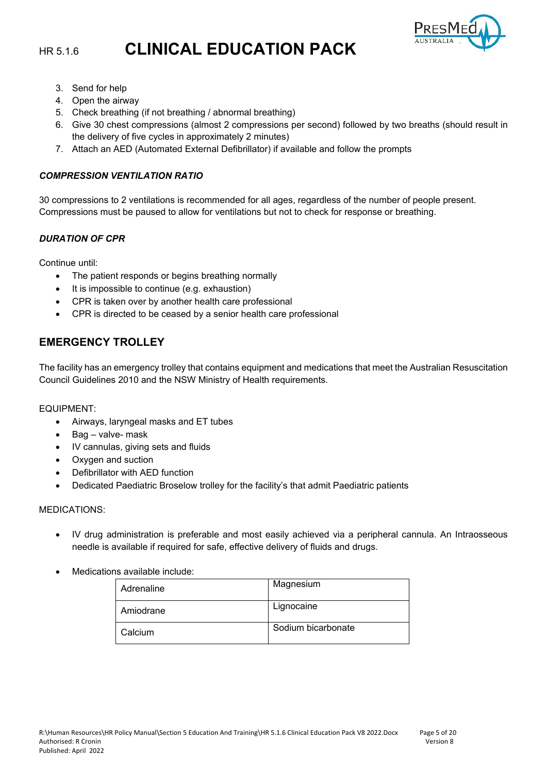

- 3. Send for help
- 4. Open the airway
- 5. Check breathing (if not breathing / abnormal breathing)
- 6. Give 30 chest compressions (almost 2 compressions per second) followed by two breaths (should result in the delivery of five cycles in approximately 2 minutes)
- 7. Attach an AED (Automated External Defibrillator) if available and follow the prompts

#### *COMPRESSION VENTILATION RATIO*

30 compressions to 2 ventilations is recommended for all ages, regardless of the number of people present. Compressions must be paused to allow for ventilations but not to check for response or breathing.

#### *DURATION OF CPR*

Continue until:

- The patient responds or begins breathing normally
- It is impossible to continue (e.g. exhaustion)
- CPR is taken over by another health care professional
- CPR is directed to be ceased by a senior health care professional

### **EMERGENCY TROLLEY**

The facility has an emergency trolley that contains equipment and medications that meet the Australian Resuscitation Council Guidelines 2010 and the NSW Ministry of Health requirements.

EQUIPMENT:

- Airways, laryngeal masks and ET tubes
- Bag valve- mask
- IV cannulas, giving sets and fluids
- Oxygen and suction
- Defibrillator with AED function
- Dedicated Paediatric Broselow trolley for the facility's that admit Paediatric patients

#### MEDICATIONS:

- IV drug administration is preferable and most easily achieved via a peripheral cannula. An Intraosseous needle is available if required for safe, effective delivery of fluids and drugs.
- Medications available include:

| Adrenaline | Magnesium          |
|------------|--------------------|
| Amiodrane  | Lignocaine         |
| Calcium    | Sodium bicarbonate |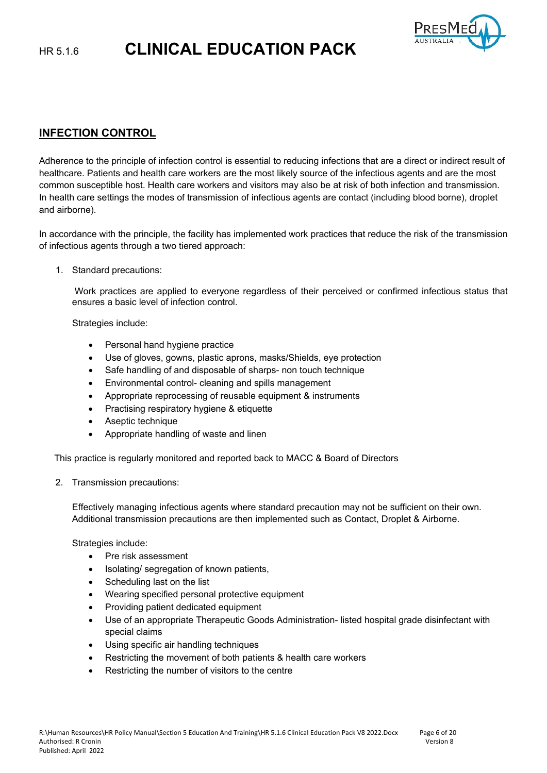

# **INFECTION CONTROL**

Adherence to the principle of infection control is essential to reducing infections that are a direct or indirect result of healthcare. Patients and health care workers are the most likely source of the infectious agents and are the most common susceptible host. Health care workers and visitors may also be at risk of both infection and transmission. In health care settings the modes of transmission of infectious agents are contact (including blood borne), droplet and airborne).

In accordance with the principle, the facility has implemented work practices that reduce the risk of the transmission of infectious agents through a two tiered approach:

1. Standard precautions:

Work practices are applied to everyone regardless of their perceived or confirmed infectious status that ensures a basic level of infection control.

Strategies include:

- Personal hand hygiene practice
- Use of gloves, gowns, plastic aprons, masks/Shields, eye protection
- Safe handling of and disposable of sharps- non touch technique
- Environmental control- cleaning and spills management
- Appropriate reprocessing of reusable equipment & instruments
- Practising respiratory hygiene & etiquette
- Aseptic technique
- Appropriate handling of waste and linen

This practice is regularly monitored and reported back to MACC & Board of Directors

2. Transmission precautions:

Effectively managing infectious agents where standard precaution may not be sufficient on their own. Additional transmission precautions are then implemented such as Contact, Droplet & Airborne.

Strategies include:

- Pre risk assessment
- Isolating/ segregation of known patients,
- Scheduling last on the list
- Wearing specified personal protective equipment
- Providing patient dedicated equipment
- Use of an appropriate Therapeutic Goods Administration- listed hospital grade disinfectant with special claims
- Using specific air handling techniques
- Restricting the movement of both patients & health care workers
- Restricting the number of visitors to the centre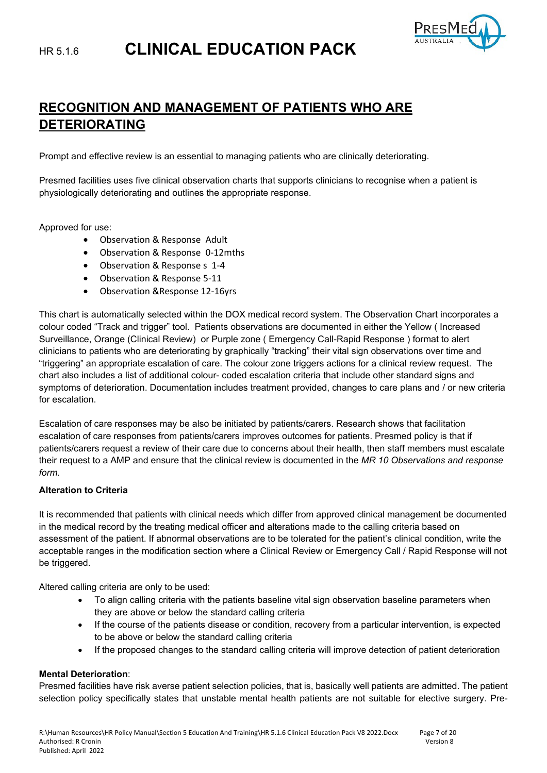

# **RECOGNITION AND MANAGEMENT OF PATIENTS WHO ARE DETERIORATING**

Prompt and effective review is an essential to managing patients who are clinically deteriorating.

Presmed facilities uses five clinical observation charts that supports clinicians to recognise when a patient is physiologically deteriorating and outlines the appropriate response.

Approved for use:

- Observation & Response Adult
- Observation & Response 0-12mths
- Observation & Response s 1-4
- Observation & Response 5-11
- Observation &Response 12-16yrs

This chart is automatically selected within the DOX medical record system. The Observation Chart incorporates a colour coded "Track and trigger" tool. Patients observations are documented in either the Yellow ( Increased Surveillance, Orange (Clinical Review) or Purple zone ( Emergency Call-Rapid Response ) format to alert clinicians to patients who are deteriorating by graphically "tracking" their vital sign observations over time and "triggering" an appropriate escalation of care. The colour zone triggers actions for a clinical review request. The chart also includes a list of additional colour- coded escalation criteria that include other standard signs and symptoms of deterioration. Documentation includes treatment provided, changes to care plans and / or new criteria for escalation.

Escalation of care responses may be also be initiated by patients/carers. Research shows that facilitation escalation of care responses from patients/carers improves outcomes for patients. Presmed policy is that if patients/carers request a review of their care due to concerns about their health, then staff members must escalate their request to a AMP and ensure that the clinical review is documented in the *MR 10 Observations and response form.*

#### **Alteration to Criteria**

It is recommended that patients with clinical needs which differ from approved clinical management be documented in the medical record by the treating medical officer and alterations made to the calling criteria based on assessment of the patient. If abnormal observations are to be tolerated for the patient's clinical condition, write the acceptable ranges in the modification section where a Clinical Review or Emergency Call / Rapid Response will not be triggered.

Altered calling criteria are only to be used:

- To align calling criteria with the patients baseline vital sign observation baseline parameters when they are above or below the standard calling criteria
- If the course of the patients disease or condition, recovery from a particular intervention, is expected to be above or below the standard calling criteria
- If the proposed changes to the standard calling criteria will improve detection of patient deterioration

#### **Mental Deterioration**:

Presmed facilities have risk averse patient selection policies, that is, basically well patients are admitted. The patient selection policy specifically states that unstable mental health patients are not suitable for elective surgery. Pre-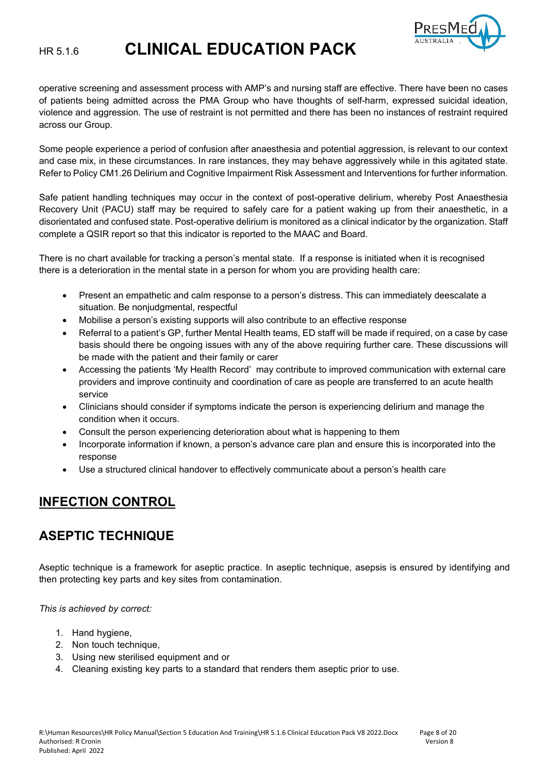

operative screening and assessment process with AMP's and nursing staff are effective. There have been no cases of patients being admitted across the PMA Group who have thoughts of self-harm, expressed suicidal ideation, violence and aggression. The use of restraint is not permitted and there has been no instances of restraint required across our Group.

Some people experience a period of confusion after anaesthesia and potential aggression, is relevant to our context and case mix, in these circumstances. In rare instances, they may behave aggressively while in this agitated state. Refer to Policy CM1.26 Delirium and Cognitive Impairment Risk Assessment and Interventions for further information.

Safe patient handling techniques may occur in the context of post-operative delirium, whereby Post Anaesthesia Recovery Unit (PACU) staff may be required to safely care for a patient waking up from their anaesthetic, in a disorientated and confused state. Post-operative delirium is monitored as a clinical indicator by the organization. Staff complete a QSIR report so that this indicator is reported to the MAAC and Board.

There is no chart available for tracking a person's mental state. If a response is initiated when it is recognised there is a deterioration in the mental state in a person for whom you are providing health care:

- Present an empathetic and calm response to a person's distress. This can immediately deescalate a situation. Be nonjudgmental, respectful
- Mobilise a person's existing supports will also contribute to an effective response
- Referral to a patient's GP, further Mental Health teams, ED staff will be made if required, on a case by case basis should there be ongoing issues with any of the above requiring further care. These discussions will be made with the patient and their family or carer
- Accessing the patients 'My Health Record' may contribute to improved communication with external care providers and improve continuity and coordination of care as people are transferred to an acute health service
- Clinicians should consider if symptoms indicate the person is experiencing delirium and manage the condition when it occurs.
- Consult the person experiencing deterioration about what is happening to them
- Incorporate information if known, a person's advance care plan and ensure this is incorporated into the response
- Use a structured clinical handover to effectively communicate about a person's health care

# **INFECTION CONTROL**

# **ASEPTIC TECHNIQUE**

Aseptic technique is a framework for aseptic practice. In aseptic technique, asepsis is ensured by identifying and then protecting key parts and key sites from contamination.

*This is achieved by correct:*

- 1. Hand hygiene,
- 2. Non touch technique,
- 3. Using new sterilised equipment and or
- 4. Cleaning existing key parts to a standard that renders them aseptic prior to use.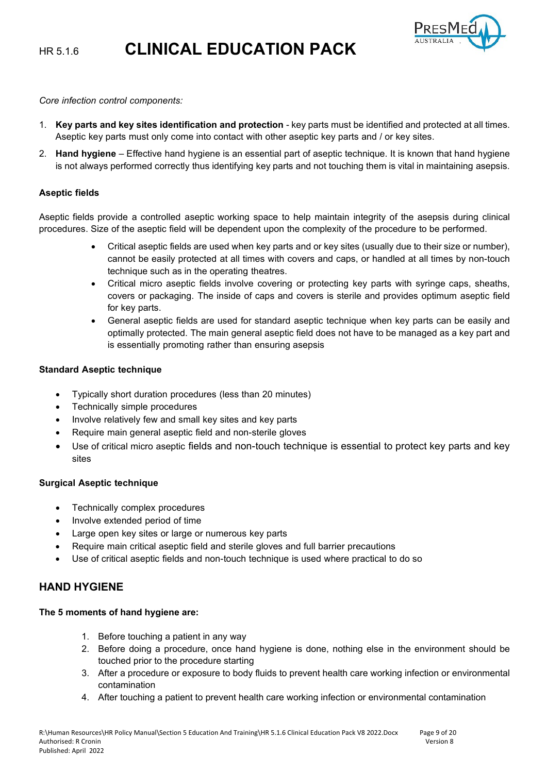

*Core infection control components:*

- 1. **Key parts and key sites identification and protection** key parts must be identified and protected at all times. Aseptic key parts must only come into contact with other aseptic key parts and / or key sites.
- 2. **Hand hygiene** Effective hand hygiene is an essential part of aseptic technique. It is known that hand hygiene is not always performed correctly thus identifying key parts and not touching them is vital in maintaining asepsis.

#### **Aseptic fields**

Aseptic fields provide a controlled aseptic working space to help maintain integrity of the asepsis during clinical procedures. Size of the aseptic field will be dependent upon the complexity of the procedure to be performed.

- Critical aseptic fields are used when key parts and or key sites (usually due to their size or number), cannot be easily protected at all times with covers and caps, or handled at all times by non-touch technique such as in the operating theatres.
- Critical micro aseptic fields involve covering or protecting key parts with syringe caps, sheaths, covers or packaging. The inside of caps and covers is sterile and provides optimum aseptic field for key parts.
- General aseptic fields are used for standard aseptic technique when key parts can be easily and optimally protected. The main general aseptic field does not have to be managed as a key part and is essentially promoting rather than ensuring asepsis

#### **Standard Aseptic technique**

- Typically short duration procedures (less than 20 minutes)
- Technically simple procedures
- Involve relatively few and small key sites and key parts
- Require main general aseptic field and non-sterile gloves
- Use of critical micro aseptic fields and non-touch technique is essential to protect key parts and key sites

#### **Surgical Aseptic technique**

- Technically complex procedures
- Involve extended period of time
- Large open key sites or large or numerous key parts
- Require main critical aseptic field and sterile gloves and full barrier precautions
- Use of critical aseptic fields and non-touch technique is used where practical to do so

# **HAND HYGIENE**

#### **The 5 moments of hand hygiene are:**

- 1. Before touching a patient in any way
- 2. Before doing a procedure, once hand hygiene is done, nothing else in the environment should be touched prior to the procedure starting
- 3. After a procedure or exposure to body fluids to prevent health care working infection or environmental contamination
- 4. After touching a patient to prevent health care working infection or environmental contamination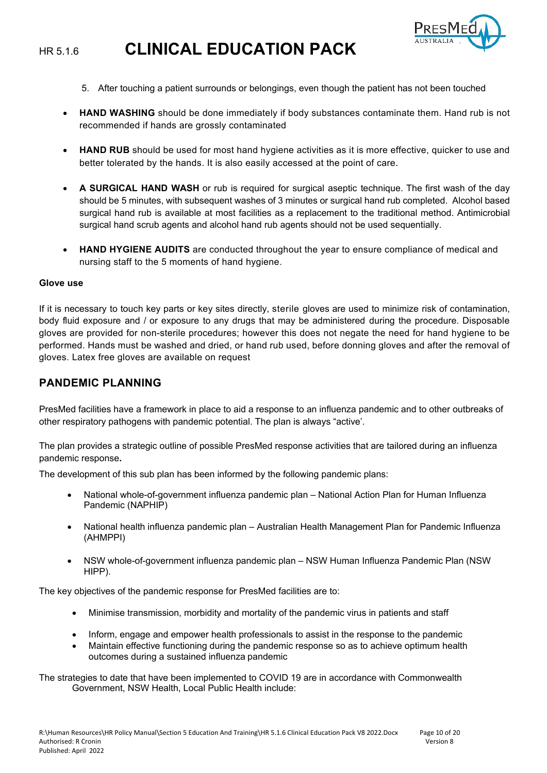

- 5. After touching a patient surrounds or belongings, even though the patient has not been touched
- **HAND WASHING** should be done immediately if body substances contaminate them. Hand rub is not recommended if hands are grossly contaminated
- **HAND RUB** should be used for most hand hygiene activities as it is more effective, quicker to use and better tolerated by the hands. It is also easily accessed at the point of care.
- **A SURGICAL HAND WASH** or rub is required for surgical aseptic technique. The first wash of the day should be 5 minutes, with subsequent washes of 3 minutes or surgical hand rub completed. Alcohol based surgical hand rub is available at most facilities as a replacement to the traditional method. Antimicrobial surgical hand scrub agents and alcohol hand rub agents should not be used sequentially.
- **HAND HYGIENE AUDITS** are conducted throughout the year to ensure compliance of medical and nursing staff to the 5 moments of hand hygiene.

#### **Glove use**

If it is necessary to touch key parts or key sites directly, sterile gloves are used to minimize risk of contamination, body fluid exposure and / or exposure to any drugs that may be administered during the procedure. Disposable gloves are provided for non-sterile procedures; however this does not negate the need for hand hygiene to be performed. Hands must be washed and dried, or hand rub used, before donning gloves and after the removal of gloves. Latex free gloves are available on request

#### **PANDEMIC PLANNING**

PresMed facilities have a framework in place to aid a response to an influenza pandemic and to other outbreaks of other respiratory pathogens with pandemic potential. The plan is always "active'.

The plan provides a strategic outline of possible PresMed response activities that are tailored during an influenza pandemic response**.** 

The development of this sub plan has been informed by the following pandemic plans:

- National whole-of-government influenza pandemic plan National Action Plan for Human Influenza Pandemic (NAPHIP)
- National health influenza pandemic plan Australian Health Management Plan for Pandemic Influenza (AHMPPI)
- NSW whole-of-government influenza pandemic plan NSW Human Influenza Pandemic Plan (NSW HIPP).

The key objectives of the pandemic response for PresMed facilities are to:

- Minimise transmission, morbidity and mortality of the pandemic virus in patients and staff
- Inform, engage and empower health professionals to assist in the response to the pandemic
- Maintain effective functioning during the pandemic response so as to achieve optimum health outcomes during a sustained influenza pandemic
- The strategies to date that have been implemented to COVID 19 are in accordance with Commonwealth Government, NSW Health, Local Public Health include: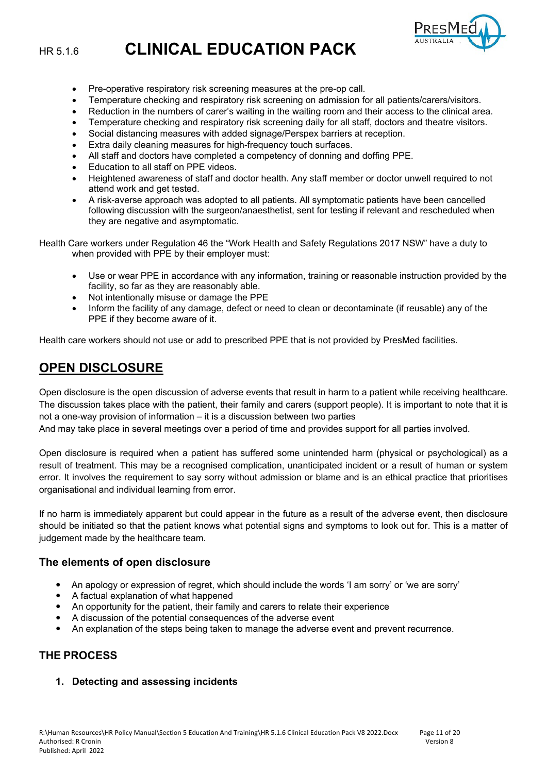

- Pre-operative respiratory risk screening measures at the pre-op call.
- Temperature checking and respiratory risk screening on admission for all patients/carers/visitors.
- Reduction in the numbers of carer's waiting in the waiting room and their access to the clinical area.
- Temperature checking and respiratory risk screening daily for all staff, doctors and theatre visitors.
- Social distancing measures with added signage/Perspex barriers at reception.
- Extra daily cleaning measures for high-frequency touch surfaces.
- All staff and doctors have completed a competency of donning and doffing PPE.
- Education to all staff on PPE videos.
- Heightened awareness of staff and doctor health. Any staff member or doctor unwell required to not attend work and get tested.
- A risk-averse approach was adopted to all patients. All symptomatic patients have been cancelled following discussion with the surgeon/anaesthetist, sent for testing if relevant and rescheduled when they are negative and asymptomatic.
- Health Care workers under Regulation 46 the "Work Health and Safety Regulations 2017 NSW" have a duty to when provided with PPE by their employer must:
	- Use or wear PPE in accordance with any information, training or reasonable instruction provided by the facility, so far as they are reasonably able.
	- Not intentionally misuse or damage the PPE
	- Inform the facility of any damage, defect or need to clean or decontaminate (if reusable) any of the PPE if they become aware of it.

Health care workers should not use or add to prescribed PPE that is not provided by PresMed facilities.

# **OPEN DISCLOSURE**

Open disclosure is the open discussion of adverse events that result in harm to a patient while receiving healthcare. The discussion takes place with the patient, their family and carers (support people). It is important to note that it is not a one-way provision of information – it is a discussion between two parties

And may take place in several meetings over a period of time and provides support for all parties involved.

Open disclosure is required when a patient has suffered some unintended harm (physical or psychological) as a result of treatment. This may be a recognised complication, unanticipated incident or a result of human or system error. It involves the requirement to say sorry without admission or blame and is an ethical practice that prioritises organisational and individual learning from error.

If no harm is immediately apparent but could appear in the future as a result of the adverse event, then disclosure should be initiated so that the patient knows what potential signs and symptoms to look out for. This is a matter of judgement made by the healthcare team.

#### **The elements of open disclosure**

- An apology or expression of regret, which should include the words 'I am sorry' or 'we are sorry'
- A factual explanation of what happened
- An opportunity for the patient, their family and carers to relate their experience
- A discussion of the potential consequences of the adverse event
- An explanation of the steps being taken to manage the adverse event and prevent recurrence.

# **THE PROCESS**

**1. Detecting and assessing incidents**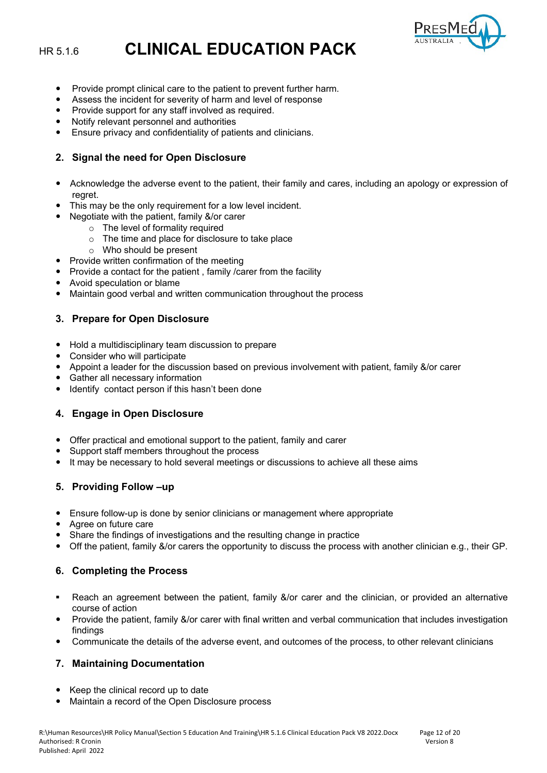

- Provide prompt clinical care to the patient to prevent further harm.
- Assess the incident for severity of harm and level of response
- Provide support for any staff involved as required.
- Notify relevant personnel and authorities
- Ensure privacy and confidentiality of patients and clinicians.

#### **2. Signal the need for Open Disclosure**

- Acknowledge the adverse event to the patient, their family and cares, including an apology or expression of regret.
- This may be the only requirement for a low level incident.
- Negotiate with the patient, family &/or carer
	- o The level of formality required
	- o The time and place for disclosure to take place
	- o Who should be present
- Provide written confirmation of the meeting
- Provide a contact for the patient, family / carer from the facility
- Avoid speculation or blame
- Maintain good verbal and written communication throughout the process

#### **3. Prepare for Open Disclosure**

- Hold a multidisciplinary team discussion to prepare
- Consider who will participate
- Appoint a leader for the discussion based on previous involvement with patient, family &/or carer
- Gather all necessary information
- Identify contact person if this hasn't been done

#### **4. Engage in Open Disclosure**

- Offer practical and emotional support to the patient, family and carer
- Support staff members throughout the process
- It may be necessary to hold several meetings or discussions to achieve all these aims

#### **5. Providing Follow –up**

- Ensure follow-up is done by senior clinicians or management where appropriate
- Agree on future care
- Share the findings of investigations and the resulting change in practice
- Off the patient, family &/or carers the opportunity to discuss the process with another clinician e.g., their GP.

#### **6. Completing the Process**

- Reach an agreement between the patient, family &/or carer and the clinician, or provided an alternative course of action
- Provide the patient, family &/or carer with final written and verbal communication that includes investigation findings
- Communicate the details of the adverse event, and outcomes of the process, to other relevant clinicians

#### **7. Maintaining Documentation**

- Keep the clinical record up to date
- Maintain a record of the Open Disclosure process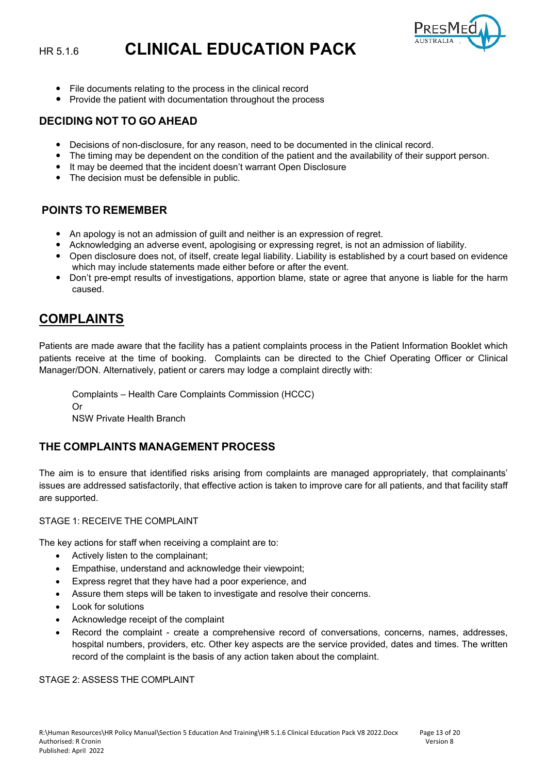

- File documents relating to the process in the clinical record
- Provide the patient with documentation throughout the process

#### **DECIDING NOT TO GO AHEAD**

- Decisions of non-disclosure, for any reason, need to be documented in the clinical record.
- The timing may be dependent on the condition of the patient and the availability of their support person.
- It may be deemed that the incident doesn't warrant Open Disclosure
- The decision must be defensible in public.

### **POINTS TO REMEMBER**

- An apology is not an admission of guilt and neither is an expression of regret.
- Acknowledging an adverse event, apologising or expressing regret, is not an admission of liability.
- Open disclosure does not, of itself, create legal liability. Liability is established by a court based on evidence which may include statements made either before or after the event.
- Don't pre-empt results of investigations, apportion blame, state or agree that anyone is liable for the harm caused.

# **COMPLAINTS**

Patients are made aware that the facility has a patient complaints process in the Patient Information Booklet which patients receive at the time of booking. Complaints can be directed to the Chief Operating Officer or Clinical Manager/DON. Alternatively, patient or carers may lodge a complaint directly with:

Complaints – Health Care Complaints Commission (HCCC) Or NSW Private Health Branch

# **THE COMPLAINTS MANAGEMENT PROCESS**

The aim is to ensure that identified risks arising from complaints are managed appropriately, that complainants' issues are addressed satisfactorily, that effective action is taken to improve care for all patients, and that facility staff are supported.

#### STAGE 1: RECEIVE THE COMPLAINT

The key actions for staff when receiving a complaint are to:

- Actively listen to the complainant;
- Empathise, understand and acknowledge their viewpoint;
- Express regret that they have had a poor experience, and
- Assure them steps will be taken to investigate and resolve their concerns.
- Look for solutions
- Acknowledge receipt of the complaint
- Record the complaint create a comprehensive record of conversations, concerns, names, addresses, hospital numbers, providers, etc. Other key aspects are the service provided, dates and times. The written record of the complaint is the basis of any action taken about the complaint.

STAGE 2: ASSESS THE COMPLAINT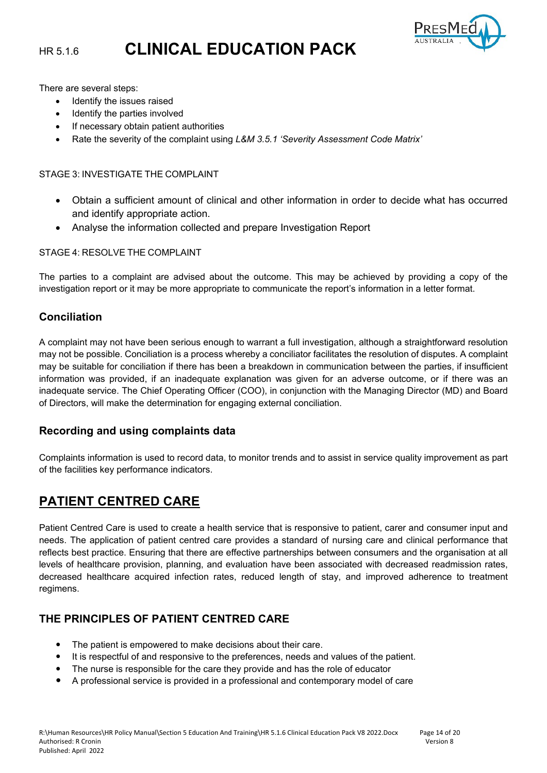

There are several steps:

- Identify the issues raised
- Identify the parties involved
- If necessary obtain patient authorities
- Rate the severity of the complaint using *L&M 3.5.1 'Severity Assessment Code Matrix'*

#### STAGE 3: INVESTIGATE THE COMPLAINT

- Obtain a sufficient amount of clinical and other information in order to decide what has occurred and identify appropriate action.
- Analyse the information collected and prepare Investigation Report

#### STAGE 4: RESOLVE THE COMPLAINT

The parties to a complaint are advised about the outcome. This may be achieved by providing a copy of the investigation report or it may be more appropriate to communicate the report's information in a letter format.

### **Conciliation**

A complaint may not have been serious enough to warrant a full investigation, although a straightforward resolution may not be possible. Conciliation is a process whereby a conciliator facilitates the resolution of disputes. A complaint may be suitable for conciliation if there has been a breakdown in communication between the parties, if insufficient information was provided, if an inadequate explanation was given for an adverse outcome, or if there was an inadequate service. The Chief Operating Officer (COO), in conjunction with the Managing Director (MD) and Board of Directors, will make the determination for engaging external conciliation.

#### **Recording and using complaints data**

Complaints information is used to record data, to monitor trends and to assist in service quality improvement as part of the facilities key performance indicators.

# **PATIENT CENTRED CARE**

Patient Centred Care is used to create a health service that is responsive to patient, carer and consumer input and needs. The application of patient centred care provides a standard of nursing care and clinical performance that reflects best practice. Ensuring that there are effective partnerships between consumers and the organisation at all levels of healthcare provision, planning, and evaluation have been associated with decreased readmission rates, decreased healthcare acquired infection rates, reduced length of stay, and improved adherence to treatment regimens.

### **THE PRINCIPLES OF PATIENT CENTRED CARE**

- The patient is empowered to make decisions about their care.
- It is respectful of and responsive to the preferences, needs and values of the patient.
- The nurse is responsible for the care they provide and has the role of educator
- A professional service is provided in a professional and contemporary model of care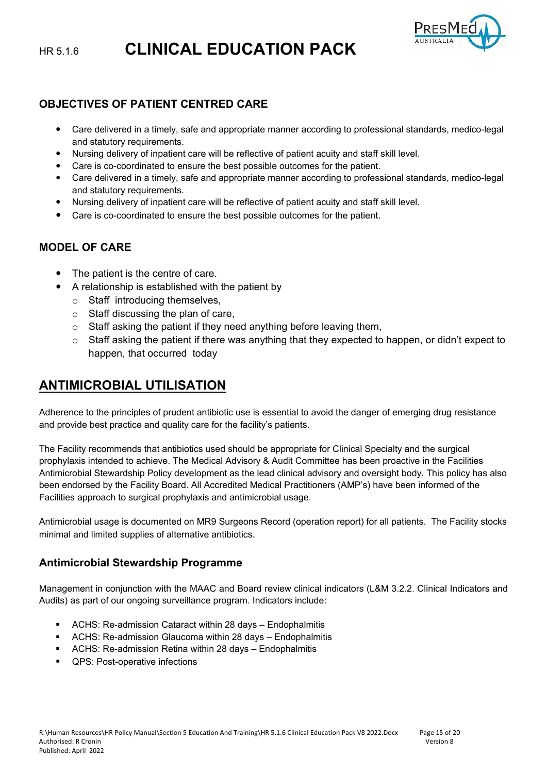

### **OBJECTIVES OF PATIENT CENTRED CARE**

- Care delivered in a timely, safe and appropriate manner according to professional standards, medico-legal and statutory requirements.
- Nursing delivery of inpatient care will be reflective of patient acuity and staff skill level.
- Care is co-coordinated to ensure the best possible outcomes for the patient.
- Care delivered in a timely, safe and appropriate manner according to professional standards, medico-legal and statutory requirements.
- Nursing delivery of inpatient care will be reflective of patient acuity and staff skill level.
- Care is co-coordinated to ensure the best possible outcomes for the patient.

# **MODEL OF CARE**

- The patient is the centre of care.
	- A relationship is established with the patient by
	- o Staff introducing themselves,
	- $\circ$  Staff discussing the plan of care,
	- $\circ$  Staff asking the patient if they need anything before leaving them,
	- $\circ$  Staff asking the patient if there was anything that they expected to happen, or didn't expect to happen, that occurred today

# **ANTIMICROBIAL UTILISATION**

Adherence to the principles of prudent antibiotic use is essential to avoid the danger of emerging drug resistance and provide best practice and quality care for the facility's patients.

The Facility recommends that antibiotics used should be appropriate for Clinical Specialty and the surgical prophylaxis intended to achieve. The Medical Advisory & Audit Committee has been proactive in the Facilities Antimicrobial Stewardship Policy development as the lead clinical advisory and oversight body. This policy has also been endorsed by the Facility Board. All Accredited Medical Practitioners (AMP's) have been informed of the Facilities approach to surgical prophylaxis and antimicrobial usage.

Antimicrobial usage is documented on MR9 Surgeons Record (operation report) for all patients. The Facility stocks minimal and limited supplies of alternative antibiotics.

### **Antimicrobial Stewardship Programme**

Management in conjunction with the MAAC and Board review clinical indicators (L&M 3.2.2. Clinical Indicators and Audits) as part of our ongoing surveillance program. Indicators include:

- ACHS: Re-admission Cataract within 28 days Endophalmitis
- ACHS: Re-admission Glaucoma within 28 days Endophalmitis
- ACHS: Re-admission Retina within 28 days Endophalmitis
- **QPS: Post-operative infections**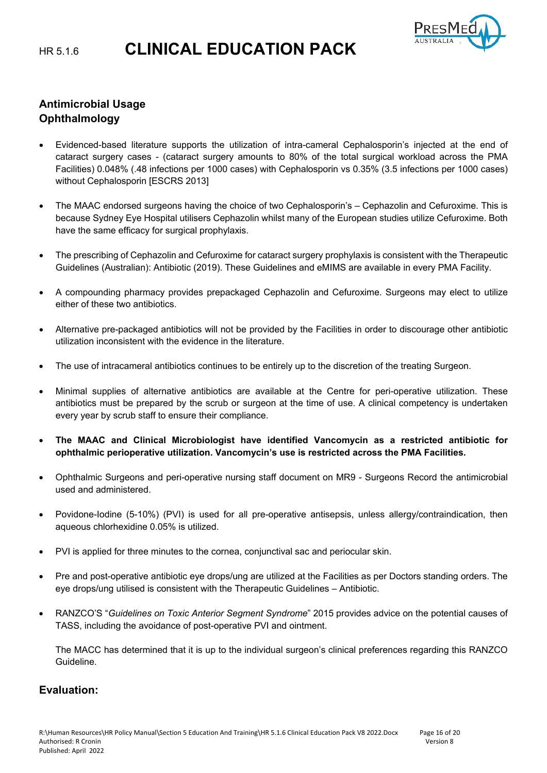

# **Antimicrobial Usage Ophthalmology**

- Evidenced-based literature supports the utilization of intra-cameral Cephalosporin's injected at the end of cataract surgery cases - (cataract surgery amounts to 80% of the total surgical workload across the PMA Facilities) 0.048% (.48 infections per 1000 cases) with Cephalosporin vs 0.35% (3.5 infections per 1000 cases) without Cephalosporin [ESCRS 2013]
- The MAAC endorsed surgeons having the choice of two Cephalosporin's Cephazolin and Cefuroxime. This is because Sydney Eye Hospital utilisers Cephazolin whilst many of the European studies utilize Cefuroxime. Both have the same efficacy for surgical prophylaxis.
- The prescribing of Cephazolin and Cefuroxime for cataract surgery prophylaxis is consistent with the Therapeutic Guidelines (Australian): Antibiotic (2019). These Guidelines and eMIMS are available in every PMA Facility.
- A compounding pharmacy provides prepackaged Cephazolin and Cefuroxime. Surgeons may elect to utilize either of these two antibiotics.
- Alternative pre-packaged antibiotics will not be provided by the Facilities in order to discourage other antibiotic utilization inconsistent with the evidence in the literature.
- The use of intracameral antibiotics continues to be entirely up to the discretion of the treating Surgeon.
- Minimal supplies of alternative antibiotics are available at the Centre for peri-operative utilization. These antibiotics must be prepared by the scrub or surgeon at the time of use. A clinical competency is undertaken every year by scrub staff to ensure their compliance.
- **The MAAC and Clinical Microbiologist have identified Vancomycin as a restricted antibiotic for ophthalmic perioperative utilization. Vancomycin's use is restricted across the PMA Facilities.**
- Ophthalmic Surgeons and peri-operative nursing staff document on MR9 Surgeons Record the antimicrobial used and administered.
- Povidone-Iodine (5-10%) (PVI) is used for all pre-operative antisepsis, unless allergy/contraindication, then aqueous chlorhexidine 0.05% is utilized.
- PVI is applied for three minutes to the cornea, conjunctival sac and periocular skin.
- Pre and post-operative antibiotic eye drops/ung are utilized at the Facilities as per Doctors standing orders. The eye drops/ung utilised is consistent with the Therapeutic Guidelines – Antibiotic.
- RANZCO'S "*Guidelines on Toxic Anterior Segment Syndrome*" 2015 provides advice on the potential causes of TASS, including the avoidance of post-operative PVI and ointment.

The MACC has determined that it is up to the individual surgeon's clinical preferences regarding this RANZCO Guideline.

### **Evaluation:**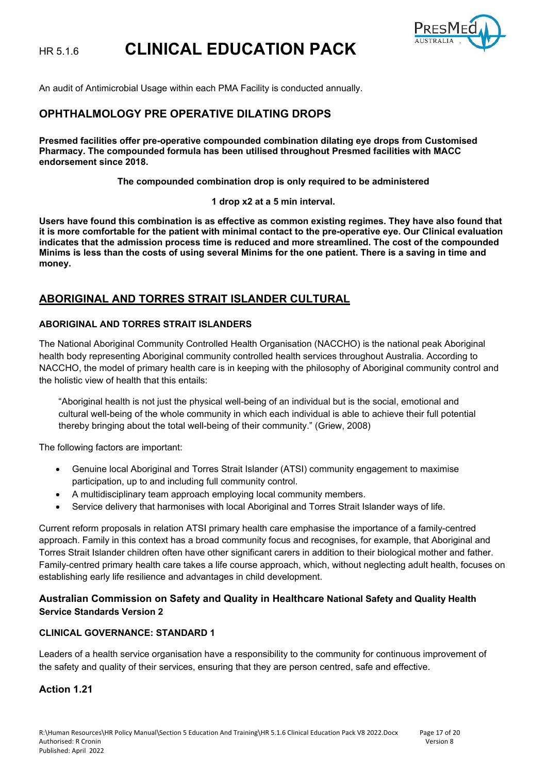

An audit of Antimicrobial Usage within each PMA Facility is conducted annually.

### **OPHTHALMOLOGY PRE OPERATIVE DILATING DROPS**

**Presmed facilities offer pre-operative compounded combination dilating eye drops from Customised Pharmacy. The compounded formula has been utilised throughout Presmed facilities with MACC endorsement since 2018.** 

**The compounded combination drop is only required to be administered**

**1 drop x2 at a 5 min interval.**

**Users have found this combination is as effective as common existing regimes. They have also found that it is more comfortable for the patient with minimal contact to the pre-operative eye. Our Clinical evaluation indicates that the admission process time is reduced and more streamlined. The cost of the compounded Minims is less than the costs of using several Minims for the one patient. There is a saving in time and money.** 

### **ABORIGINAL AND TORRES STRAIT ISLANDER CULTURAL**

#### **ABORIGINAL AND TORRES STRAIT ISLANDERS**

The National Aboriginal Community Controlled Health Organisation (NACCHO) is the national peak Aboriginal health body representing Aboriginal community controlled health services throughout Australia. According to NACCHO, the model of primary health care is in keeping with the philosophy of Aboriginal community control and the holistic view of health that this entails:

"Aboriginal health is not just the physical well-being of an individual but is the social, emotional and cultural well-being of the whole community in which each individual is able to achieve their full potential thereby bringing about the total well-being of their community." (Griew, 2008)

The following factors are important:

- Genuine local Aboriginal and Torres Strait Islander (ATSI) community engagement to maximise participation, up to and including full community control.
- A multidisciplinary team approach employing local community members.
- Service delivery that harmonises with local Aboriginal and Torres Strait Islander ways of life.

Current reform proposals in relation ATSI primary health care emphasise the importance of a family-centred approach. Family in this context has a broad community focus and recognises, for example, that Aboriginal and Torres Strait Islander children often have other significant carers in addition to their biological mother and father. Family-centred primary health care takes a life course approach, which, without neglecting adult health, focuses on establishing early life resilience and advantages in child development.

#### **Australian Commission on Safety and Quality in Healthcare National Safety and Quality Health Service Standards Version 2**

#### **CLINICAL GOVERNANCE: STANDARD 1**

Leaders of a health service organisation have a responsibility to the community for continuous improvement of the safety and quality of their services, ensuring that they are person centred, safe and effective.

#### **Action 1.21**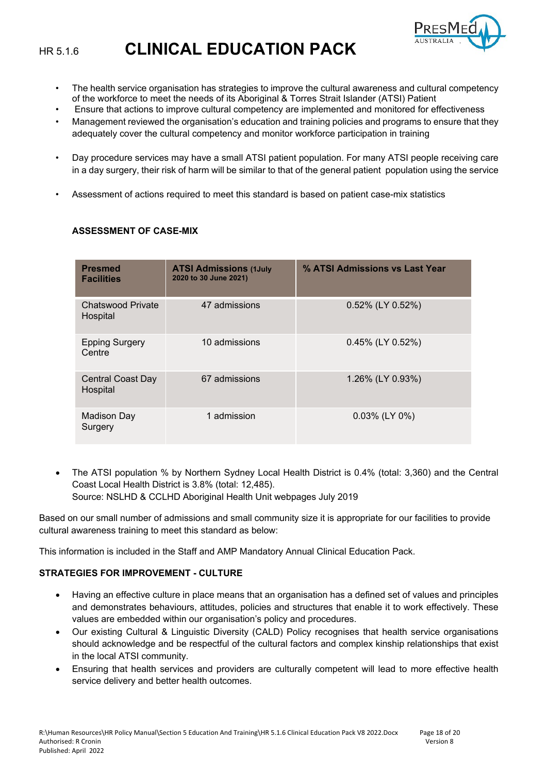

- The health service organisation has strategies to improve the cultural awareness and cultural competency of the workforce to meet the needs of its Aboriginal & Torres Strait Islander (ATSI) Patient
- Ensure that actions to improve cultural competency are implemented and monitored for effectiveness
- Management reviewed the organisation's education and training policies and programs to ensure that they adequately cover the cultural competency and monitor workforce participation in training
- Day procedure services may have a small ATSI patient population. For many ATSI people receiving care in a day surgery, their risk of harm will be similar to that of the general patient population using the service
- Assessment of actions required to meet this standard is based on patient case-mix statistics

#### **Presmed Facilities ATSI Admissions (1July 2020 to 30 June 2021) % ATSI Admissions vs Last Year** Chatswood Private Hospital 47 admissions 0.52% (LY 0.52%) Epping Surgery **Centre** 10 admissions 0.45% (LY 0.52%) Central Coast Day **Hospital** 67 admissions 1.26% (LY 0.93%) Madison Day Surgery 1 admission 0.03% (LY 0%)

#### **ASSESSMENT OF CASE-MIX**

• The ATSI population % by Northern Sydney Local Health District is 0.4% (total: 3,360) and the Central Coast Local Health District is 3.8% (total: 12,485). Source: NSLHD & CCLHD Aboriginal Health Unit webpages July 2019

Based on our small number of admissions and small community size it is appropriate for our facilities to provide cultural awareness training to meet this standard as below:

This information is included in the Staff and AMP Mandatory Annual Clinical Education Pack.

#### **STRATEGIES FOR IMPROVEMENT - CULTURE**

- Having an effective culture in place means that an organisation has a defined set of values and principles and demonstrates behaviours, attitudes, policies and structures that enable it to work effectively. These values are embedded within our organisation's policy and procedures.
- Our existing Cultural & Linguistic Diversity (CALD) Policy recognises that health service organisations should acknowledge and be respectful of the cultural factors and complex kinship relationships that exist in the local ATSI community.
- Ensuring that health services and providers are culturally competent will lead to more effective health service delivery and better health outcomes.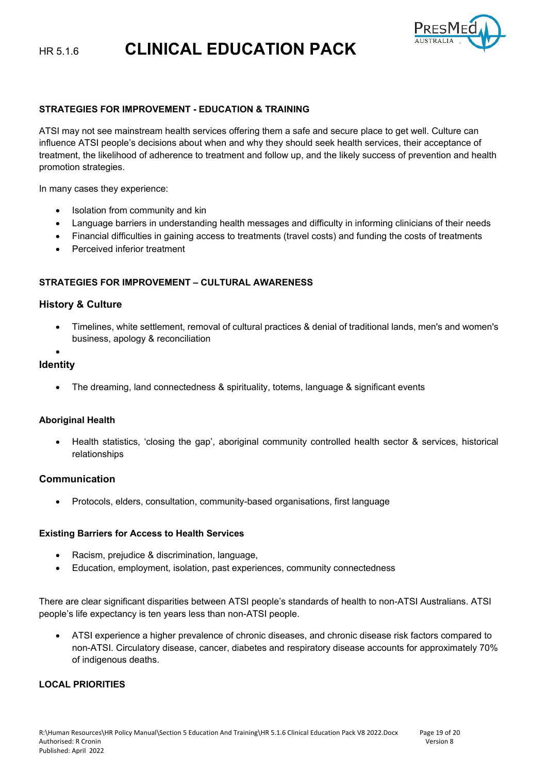

#### **STRATEGIES FOR IMPROVEMENT - EDUCATION & TRAINING**

ATSI may not see mainstream health services offering them a safe and secure place to get well. Culture can influence ATSI people's decisions about when and why they should seek health services, their acceptance of treatment, the likelihood of adherence to treatment and follow up, and the likely success of prevention and health promotion strategies.

In many cases they experience:

- Isolation from community and kin
- Language barriers in understanding health messages and difficulty in informing clinicians of their needs
- Financial difficulties in gaining access to treatments (travel costs) and funding the costs of treatments
- Perceived inferior treatment

#### **STRATEGIES FOR IMPROVEMENT – CULTURAL AWARENESS**

#### **History & Culture**

- Timelines, white settlement, removal of cultural practices & denial of traditional lands, men's and women's business, apology & reconciliation
- •

#### **Identity**

• The dreaming, land connectedness & spirituality, totems, language & significant events

#### **Aboriginal Health**

• Health statistics, 'closing the gap', aboriginal community controlled health sector & services, historical relationships

#### **Communication**

• Protocols, elders, consultation, community-based organisations, first language

#### **Existing Barriers for Access to Health Services**

- Racism, prejudice & discrimination, language,
- Education, employment, isolation, past experiences, community connectedness

There are clear significant disparities between ATSI people's standards of health to non-ATSI Australians. ATSI people's life expectancy is ten years less than non-ATSI people.

• ATSI experience a higher prevalence of chronic diseases, and chronic disease risk factors compared to non-ATSI. Circulatory disease, cancer, diabetes and respiratory disease accounts for approximately 70% of indigenous deaths.

#### **LOCAL PRIORITIES**